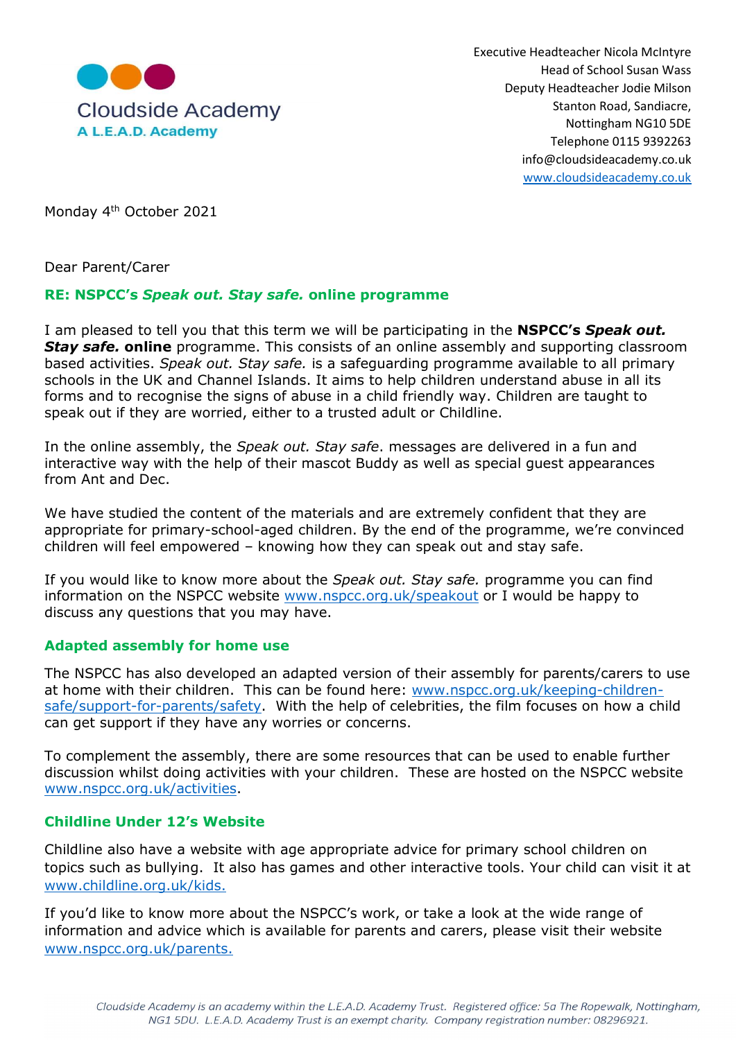

Executive Headteacher Nicola McIntyre Head of School Susan Wass Deputy Headteacher Jodie Milson Nottingham NG10 5DE Telephone 0115 9392263 info@cloudsideacademy.co.uk www.cloudsideacademy.co.uk

Monday 4<sup>th</sup> October 2021

Dear Parent/Carer

### RE: NSPCC's Speak out. Stay safe. online programme

I am pleased to tell you that this term we will be participating in the **NSPCC's Speak out. Stay safe. online** programme. This consists of an online assembly and supporting classroom based activities. Speak out. Stay safe. is a safeguarding programme available to all primary schools in the UK and Channel Islands. It aims to help children understand abuse in all its forms and to recognise the signs of abuse in a child friendly way. Children are taught to speak out if they are worried, either to a trusted adult or Childline.

In the online assembly, the *Speak out. Stay safe*. messages are delivered in a fun and interactive way with the help of their mascot Buddy as well as special guest appearances from Ant and Dec.

We have studied the content of the materials and are extremely confident that they are appropriate for primary-school-aged children. By the end of the programme, we're convinced children will feel empowered – knowing how they can speak out and stay safe.

If you would like to know more about the Speak out. Stay safe. programme you can find information on the NSPCC website www.nspcc.org.uk/speakout or I would be happy to discuss any questions that you may have.

#### Adapted assembly for home use

The NSPCC has also developed an adapted version of their assembly for parents/carers to use at home with their children. This can be found here: www.nspcc.org.uk/keeping-childrensafe/support-for-parents/safety. With the help of celebrities, the film focuses on how a child can get support if they have any worries or concerns.

To complement the assembly, there are some resources that can be used to enable further discussion whilst doing activities with your children. These are hosted on the NSPCC website www.nspcc.org.uk/activities.

#### Childline Under 12's Website

Childline also have a website with age appropriate advice for primary school children on topics such as bullying. It also has games and other interactive tools. Your child can visit it at www.childline.org.uk/kids.

If you'd like to know more about the NSPCC's work, or take a look at the wide range of information and advice which is available for parents and carers, please visit their website www.nspcc.org.uk/parents.